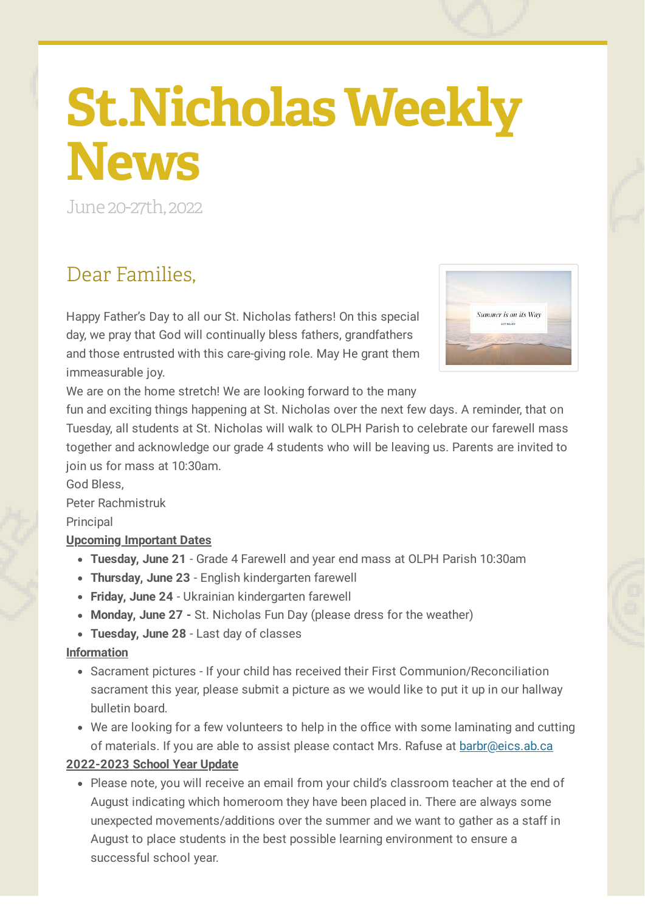# **St.Nicholas Weekly News**

June 20-27th, 2022

## Dear Families,

Happy Father's Day to all our St. Nicholas fathers! On this special day, we pray that God will continually bless fathers, grandfathers and those entrusted with this care-giving role. May He grant them immeasurable joy.



We are on the home stretch! We are looking forward to the many

fun and exciting things happening at St. Nicholas over the next few days. A reminder, that on Tuesday, all students at St. Nicholas will walk to OLPH Parish to celebrate our farewell mass together and acknowledge our grade 4 students who will be leaving us. Parents are invited to join us for mass at 10:30am.

God Bless,

Peter Rachmistruk

Principal

## **Upcoming Important Dates**

- **Tuesday, June 21** Grade 4 Farewell and year end mass at OLPH Parish 10:30am
- **Thursday, June 23** English kindergarten farewell
- **Friday, June 24** Ukrainian kindergarten farewell
- **Monday, June 27 -** St. Nicholas Fun Day (please dress for the weather)
- **Tuesday, June 28** Last day of classes

#### **Information**

- Sacrament pictures If your child has received their First Communion/Reconciliation sacrament this year, please submit a picture as we would like to put it up in our hallway bulletin board.
- We are looking for a few volunteers to help in the office with some laminating and cutting of materials. If you are able to assist please contact Mrs. Rafuse at **[barbr@eics.ab.ca](mailto:barbr@eics.ab.ca)**

## **2022-2023 School Year Update**

• Please note, you will receive an email from your child's classroom teacher at the end of August indicating which homeroom they have been placed in. There are always some unexpected movements/additions over the summer and we want to gather as a staff in August to place students in the best possible learning environment to ensure a successful school year.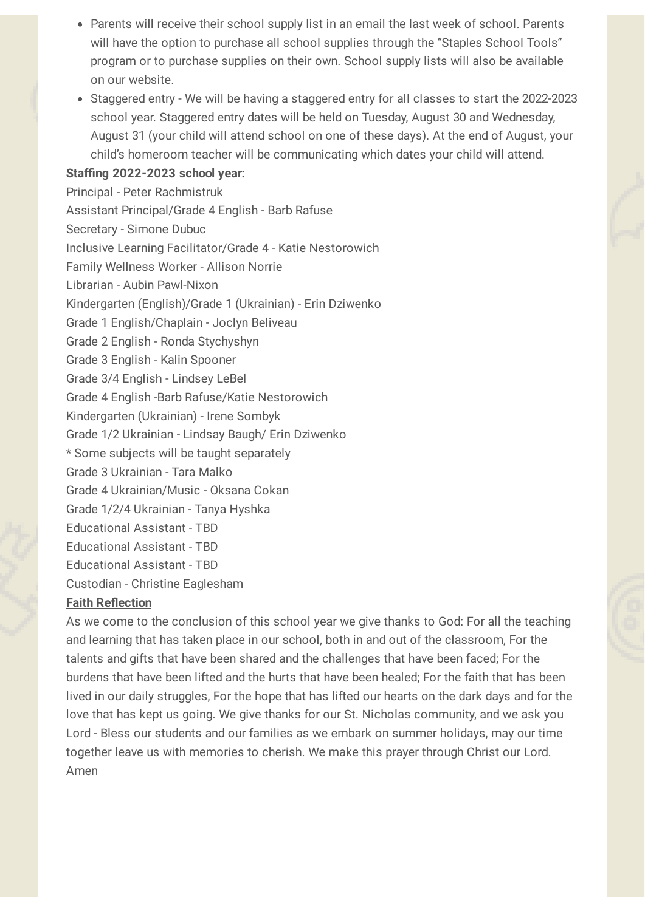- Parents will receive their school supply list in an email the last week of school. Parents will have the option to purchase all school supplies through the "Staples School Tools" program or to purchase supplies on their own. School supply lists will also be available on our website.
- Staggered entry We will be having a staggered entry for all classes to start the 2022-2023 school year. Staggered entry dates will be held on Tuesday, August 30 and Wednesday, August 31 (your child will attend school on one of these days). At the end of August, your child's homeroom teacher will be communicating which dates your child will attend.

#### **Staffing 2022-2023 school year:**

Principal - Peter Rachmistruk Assistant Principal/Grade 4 English - Barb Rafuse Secretary - Simone Dubuc Inclusive Learning Facilitator/Grade 4 - Katie Nestorowich Family Wellness Worker - Allison Norrie Librarian - Aubin Pawl-Nixon Kindergarten (English)/Grade 1 (Ukrainian) - Erin Dziwenko Grade 1 English/Chaplain - Joclyn Beliveau Grade 2 English - Ronda Stychyshyn Grade 3 English - Kalin Spooner Grade 3/4 English - Lindsey LeBel Grade 4 English -Barb Rafuse/Katie Nestorowich Kindergarten (Ukrainian) - Irene Sombyk Grade 1/2 Ukrainian - Lindsay Baugh/ Erin Dziwenko \* Some subjects will be taught separately Grade 3 Ukrainian - Tara Malko Grade 4 Ukrainian/Music - Oksana Cokan Grade 1/2/4 Ukrainian - Tanya Hyshka Educational Assistant - TBD Educational Assistant - TBD Educational Assistant - TBD

Custodian - Christine Eaglesham

#### **Faith Reflection**

As we come to the conclusion of this school year we give thanks to God: For all the teaching and learning that has taken place in our school, both in and out of the classroom, For the talents and gifts that have been shared and the challenges that have been faced; For the burdens that have been lifted and the hurts that have been healed; For the faith that has been lived in our daily struggles, For the hope that has lifted our hearts on the dark days and for the love that has kept us going. We give thanks for our St. Nicholas community, and we ask you Lord - Bless our students and our families as we embark on summer holidays, may our time together leave us with memories to cherish. We make this prayer through Christ our Lord. Amen